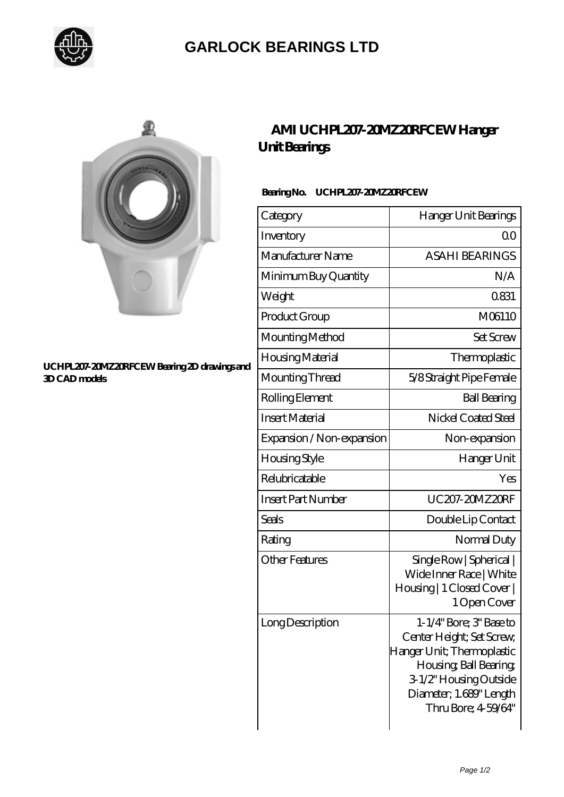

## **[GARLOCK BEARINGS LTD](https://m.letterstopriests.com)**



#### **[UCHPL207-20MZ20RFCEW Bearing 2D drawings and](https://m.letterstopriests.com/pic-189084.html) [3D CAD models](https://m.letterstopriests.com/pic-189084.html)**

### **[AMI UCHPL207-20MZ20RFCEW Hanger](https://m.letterstopriests.com/aI-189084-ami-uchpl207-20mz20rfcew-hanger-unit-bearings.html) [Unit Bearings](https://m.letterstopriests.com/aI-189084-ami-uchpl207-20mz20rfcew-hanger-unit-bearings.html)**

### **Bearing No. UCHPL207-20MZ20RFCEW**

| Category                  | Hanger Unit Bearings                                                                                                                                                                    |
|---------------------------|-----------------------------------------------------------------------------------------------------------------------------------------------------------------------------------------|
| Inventory                 | QΟ                                                                                                                                                                                      |
| Manufacturer Name         | <b>ASAHI BEARINGS</b>                                                                                                                                                                   |
| Minimum Buy Quantity      | N/A                                                                                                                                                                                     |
| Weight                    | 0831                                                                                                                                                                                    |
| Product Group             | M06110                                                                                                                                                                                  |
| Mounting Method           | <b>Set Screw</b>                                                                                                                                                                        |
| Housing Material          | Thermoplastic                                                                                                                                                                           |
| Mounting Thread           | 5/8 Straight Pipe Female                                                                                                                                                                |
| Rolling Element           | <b>Ball Bearing</b>                                                                                                                                                                     |
| <b>Insert Material</b>    | Nickel Coated Steel                                                                                                                                                                     |
| Expansion / Non-expansion | Non-expansion                                                                                                                                                                           |
| <b>Housing Style</b>      | Hanger Unit                                                                                                                                                                             |
| Relubricatable            | Yes                                                                                                                                                                                     |
| <b>Insert Part Number</b> | UC207-20MZ20RF                                                                                                                                                                          |
| Seals                     | Double Lip Contact                                                                                                                                                                      |
| Rating                    | Normal Duty                                                                                                                                                                             |
| <b>Other Features</b>     | Single Row   Spherical  <br>Wide Inner Race   White<br>Housing   1 Closed Cover  <br>1 Open Cover                                                                                       |
| Long Description          | 1-1/4" Bore; 3" Base to<br>Center Height; Set Screw,<br>Hanger Unit; Thermoplastic<br>Housing, Ball Bearing,<br>3-1/2" Housing Outside<br>Diameter; 1.689" Length<br>Thru Bore; 459/64" |